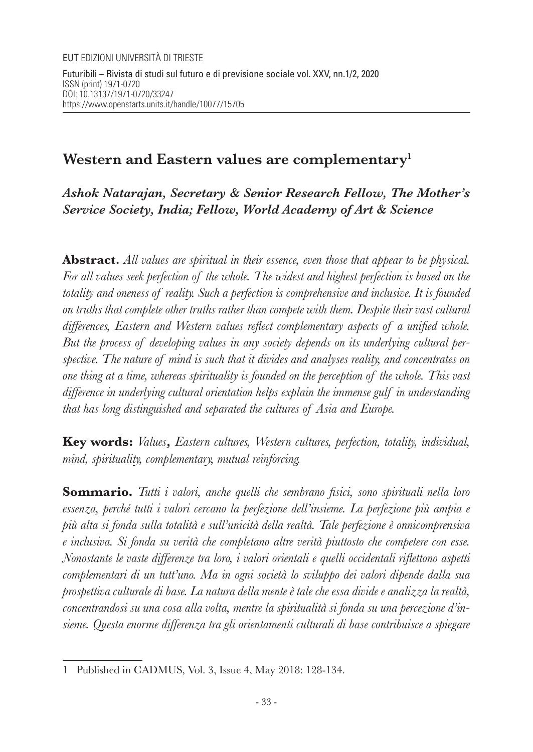# **Western and Eastern values are complementary<sup>1</sup>**

*Ashok Natarajan, Secretary & Senior Research Fellow, The Mother's Service Society, India; Fellow, World Academy of Art & Science*

**Abstract***. All values are spiritual in their essence, even those that appear to be physical. For all values seek perfection of the whole. The widest and highest perfection is based on the totality and oneness of reality. Such a perfection is comprehensive and inclusive. It is founded on truths that complete other truths rather than compete with them. Despite their vast cultural differences, Eastern and Western values reflect complementary aspects of a unified whole. But the process of developing values in any society depends on its underlying cultural perspective. The nature of mind is such that it divides and analyses reality, and concentrates on one thing at a time, whereas spirituality is founded on the perception of the whole. This vast difference in underlying cultural orientation helps explain the immense gulf in understanding that has long distinguished and separated the cultures of Asia and Europe.*

**Key words:** *Values, Eastern cultures, Western cultures, perfection, totality, individual, mind, spirituality, complementary, mutual reinforcing.*

**Sommario.** *Tutti i valori, anche quelli che sembrano fisici, sono spirituali nella loro essenza, perché tutti i valori cercano la perfezione dell'insieme. La perfezione più ampia e più alta si fonda sulla totalità e sull'unicità della realtà. Tale perfezione è onnicomprensiva e inclusiva. Si fonda su verità che completano altre verità piuttosto che competere con esse. Nonostante le vaste differenze tra loro, i valori orientali e quelli occidentali riflettono aspetti complementari di un tutt'uno. Ma in ogni società lo sviluppo dei valori dipende dalla sua prospettiva culturale di base. La natura della mente è tale che essa divide e analizza la realtà, concentrandosi su una cosa alla volta, mentre la spiritualità si fonda su una percezione d'insieme. Questa enorme differenza tra gli orientamenti culturali di base contribuisce a spiegare* 

<sup>1</sup> Published in CADMUS, Vol. 3, Issue 4, May 2018: 128-134.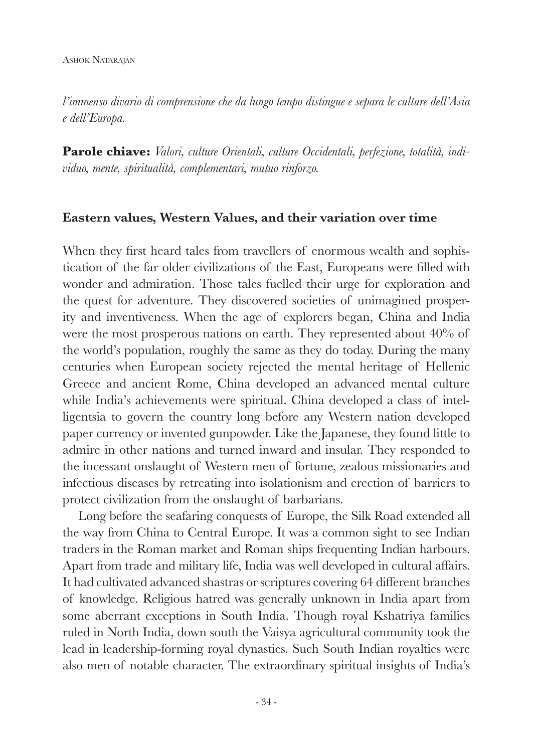*l'immenso divario di comprensione che da lungo tempo distingue e separa le culture dell'Asia e dell'Europa.* 

**Parole chiave:** *Valori, culture Orientali, culture Occidentali, perfezione, totalità, individuo, mente, spiritualità, complementari, mutuo rinforzo.*

#### **Eastern values, Western Values, and their variation over time**

When they first heard tales from travellers of enormous wealth and sophistication of the far older civilizations of the East, Europeans were filled with wonder and admiration. Those tales fuelled their urge for exploration and the quest for adventure. They discovered societies of unimagined prosperity and inventiveness. When the age of explorers began, China and India were the most prosperous nations on earth. They represented about 40% of the world's population, roughly the same as they do today. During the many centuries when European society rejected the mental heritage of Hellenic Greece and ancient Rome, China developed an advanced mental culture while India's achievements were spiritual. China developed a class of intelligentsia to govern the country long before any Western nation developed paper currency or invented gunpowder. Like the Japanese, they found little to admire in other nations and turned inward and insular. They responded to the incessant onslaught of Western men of fortune, zealous missionaries and infectious diseases by retreating into isolationism and erection of barriers to protect civilization from the onslaught of barbarians.

Long before the seafaring conquests of Europe, the Silk Road extended all the way from China to Central Europe. It was a common sight to see Indian traders in the Roman market and Roman ships frequenting Indian harbours. Apart from trade and military life, India was well developed in cultural affairs. It had cultivated advanced shastras or scriptures covering 64 different branches of knowledge. Religious hatred was generally unknown in India apart from some aberrant exceptions in South India. Though royal Kshatriya families ruled in North India, down south the Vaisya agricultural community took the lead in leadership-forming royal dynasties. Such South Indian royalties were also men of notable character. The extraordinary spiritual insights of India's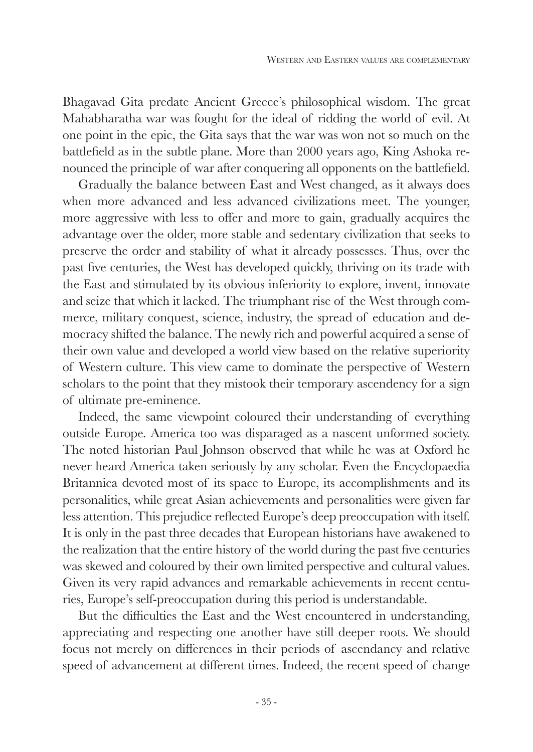Bhagavad Gita predate Ancient Greece's philosophical wisdom. The great Mahabharatha war was fought for the ideal of ridding the world of evil. At one point in the epic, the Gita says that the war was won not so much on the battlefield as in the subtle plane. More than 2000 years ago, King Ashoka renounced the principle of war after conquering all opponents on the battlefield.

Gradually the balance between East and West changed, as it always does when more advanced and less advanced civilizations meet. The younger, more aggressive with less to offer and more to gain, gradually acquires the advantage over the older, more stable and sedentary civilization that seeks to preserve the order and stability of what it already possesses. Thus, over the past five centuries, the West has developed quickly, thriving on its trade with the East and stimulated by its obvious inferiority to explore, invent, innovate and seize that which it lacked. The triumphant rise of the West through commerce, military conquest, science, industry, the spread of education and democracy shifted the balance. The newly rich and powerful acquired a sense of their own value and developed a world view based on the relative superiority of Western culture. This view came to dominate the perspective of Western scholars to the point that they mistook their temporary ascendency for a sign of ultimate pre-eminence.

Indeed, the same viewpoint coloured their understanding of everything outside Europe. America too was disparaged as a nascent unformed society. The noted historian Paul Johnson observed that while he was at Oxford he never heard America taken seriously by any scholar. Even the Encyclopaedia Britannica devoted most of its space to Europe, its accomplishments and its personalities, while great Asian achievements and personalities were given far less attention. This prejudice reflected Europe's deep preoccupation with itself. It is only in the past three decades that European historians have awakened to the realization that the entire history of the world during the past five centuries was skewed and coloured by their own limited perspective and cultural values. Given its very rapid advances and remarkable achievements in recent centuries, Europe's self-preoccupation during this period is understandable.

But the difficulties the East and the West encountered in understanding, appreciating and respecting one another have still deeper roots. We should focus not merely on differences in their periods of ascendancy and relative speed of advancement at different times. Indeed, the recent speed of change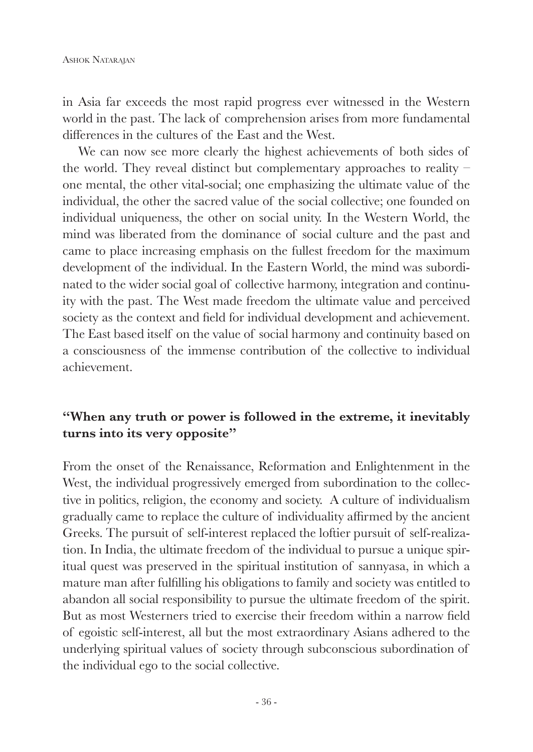in Asia far exceeds the most rapid progress ever witnessed in the Western world in the past. The lack of comprehension arises from more fundamental differences in the cultures of the East and the West.

We can now see more clearly the highest achievements of both sides of the world. They reveal distinct but complementary approaches to reality – one mental, the other vital-social; one emphasizing the ultimate value of the individual, the other the sacred value of the social collective; one founded on individual uniqueness, the other on social unity. In the Western World, the mind was liberated from the dominance of social culture and the past and came to place increasing emphasis on the fullest freedom for the maximum development of the individual. In the Eastern World, the mind was subordinated to the wider social goal of collective harmony, integration and continuity with the past. The West made freedom the ultimate value and perceived society as the context and field for individual development and achievement. The East based itself on the value of social harmony and continuity based on a consciousness of the immense contribution of the collective to individual achievement.

## **"When any truth or power is followed in the extreme, it inevitably turns into its very opposite"**

From the onset of the Renaissance, Reformation and Enlightenment in the West, the individual progressively emerged from subordination to the collective in politics, religion, the economy and society. A culture of individualism gradually came to replace the culture of individuality affirmed by the ancient Greeks. The pursuit of self-interest replaced the loftier pursuit of self-realization. In India, the ultimate freedom of the individual to pursue a unique spiritual quest was preserved in the spiritual institution of sannyasa, in which a mature man after fulfilling his obligations to family and society was entitled to abandon all social responsibility to pursue the ultimate freedom of the spirit. But as most Westerners tried to exercise their freedom within a narrow field of egoistic self-interest, all but the most extraordinary Asians adhered to the underlying spiritual values of society through subconscious subordination of the individual ego to the social collective.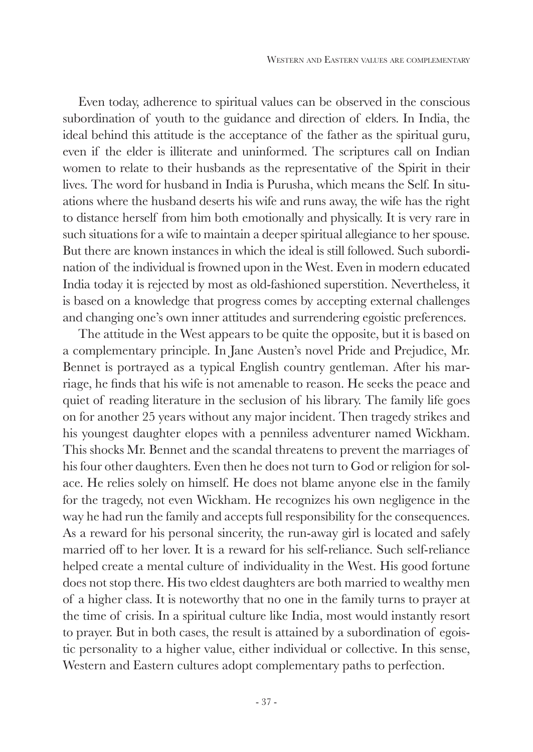Even today, adherence to spiritual values can be observed in the conscious subordination of youth to the guidance and direction of elders. In India, the ideal behind this attitude is the acceptance of the father as the spiritual guru, even if the elder is illiterate and uninformed. The scriptures call on Indian women to relate to their husbands as the representative of the Spirit in their lives. The word for husband in India is Purusha, which means the Self. In situations where the husband deserts his wife and runs away, the wife has the right to distance herself from him both emotionally and physically. It is very rare in such situations for a wife to maintain a deeper spiritual allegiance to her spouse. But there are known instances in which the ideal is still followed. Such subordination of the individual is frowned upon in the West. Even in modern educated India today it is rejected by most as old-fashioned superstition. Nevertheless, it is based on a knowledge that progress comes by accepting external challenges and changing one's own inner attitudes and surrendering egoistic preferences.

The attitude in the West appears to be quite the opposite, but it is based on a complementary principle. In Jane Austen's novel Pride and Prejudice, Mr. Bennet is portrayed as a typical English country gentleman. After his marriage, he finds that his wife is not amenable to reason. He seeks the peace and quiet of reading literature in the seclusion of his library. The family life goes on for another 25 years without any major incident. Then tragedy strikes and his youngest daughter elopes with a penniless adventurer named Wickham. This shocks Mr. Bennet and the scandal threatens to prevent the marriages of his four other daughters. Even then he does not turn to God or religion for solace. He relies solely on himself. He does not blame anyone else in the family for the tragedy, not even Wickham. He recognizes his own negligence in the way he had run the family and accepts full responsibility for the consequences. As a reward for his personal sincerity, the run-away girl is located and safely married off to her lover. It is a reward for his self-reliance. Such self-reliance helped create a mental culture of individuality in the West. His good fortune does not stop there. His two eldest daughters are both married to wealthy men of a higher class. It is noteworthy that no one in the family turns to prayer at the time of crisis. In a spiritual culture like India, most would instantly resort to prayer. But in both cases, the result is attained by a subordination of egoistic personality to a higher value, either individual or collective. In this sense, Western and Eastern cultures adopt complementary paths to perfection.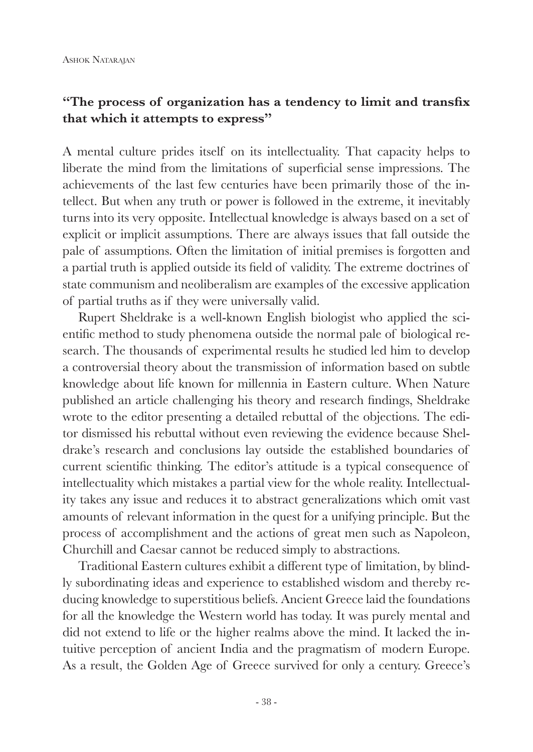#### **"The process of organization has a tendency to limit and transfix that which it attempts to express"**

A mental culture prides itself on its intellectuality. That capacity helps to liberate the mind from the limitations of superficial sense impressions. The achievements of the last few centuries have been primarily those of the intellect. But when any truth or power is followed in the extreme, it inevitably turns into its very opposite. Intellectual knowledge is always based on a set of explicit or implicit assumptions. There are always issues that fall outside the pale of assumptions. Often the limitation of initial premises is forgotten and a partial truth is applied outside its field of validity. The extreme doctrines of state communism and neoliberalism are examples of the excessive application of partial truths as if they were universally valid.

Rupert Sheldrake is a well-known English biologist who applied the scientific method to study phenomena outside the normal pale of biological research. The thousands of experimental results he studied led him to develop a controversial theory about the transmission of information based on subtle knowledge about life known for millennia in Eastern culture. When Nature published an article challenging his theory and research findings, Sheldrake wrote to the editor presenting a detailed rebuttal of the objections. The editor dismissed his rebuttal without even reviewing the evidence because Sheldrake's research and conclusions lay outside the established boundaries of current scientific thinking. The editor's attitude is a typical consequence of intellectuality which mistakes a partial view for the whole reality. Intellectuality takes any issue and reduces it to abstract generalizations which omit vast amounts of relevant information in the quest for a unifying principle. But the process of accomplishment and the actions of great men such as Napoleon, Churchill and Caesar cannot be reduced simply to abstractions.

Traditional Eastern cultures exhibit a different type of limitation, by blindly subordinating ideas and experience to established wisdom and thereby reducing knowledge to superstitious beliefs. Ancient Greece laid the foundations for all the knowledge the Western world has today. It was purely mental and did not extend to life or the higher realms above the mind. It lacked the intuitive perception of ancient India and the pragmatism of modern Europe. As a result, the Golden Age of Greece survived for only a century. Greece's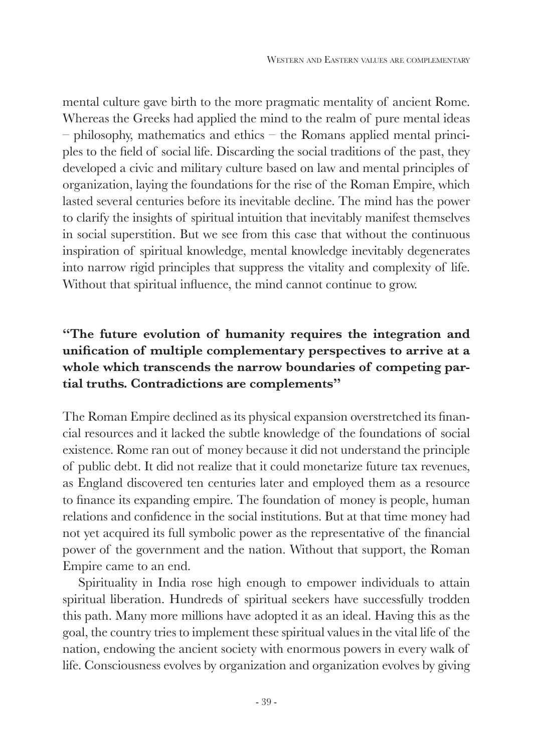mental culture gave birth to the more pragmatic mentality of ancient Rome. Whereas the Greeks had applied the mind to the realm of pure mental ideas – philosophy, mathematics and ethics – the Romans applied mental principles to the field of social life. Discarding the social traditions of the past, they developed a civic and military culture based on law and mental principles of organization, laying the foundations for the rise of the Roman Empire, which lasted several centuries before its inevitable decline. The mind has the power to clarify the insights of spiritual intuition that inevitably manifest themselves in social superstition. But we see from this case that without the continuous inspiration of spiritual knowledge, mental knowledge inevitably degenerates into narrow rigid principles that suppress the vitality and complexity of life. Without that spiritual influence, the mind cannot continue to grow.

## **"The future evolution of humanity requires the integration and unification of multiple complementary perspectives to arrive at a whole which transcends the narrow boundaries of competing partial truths. Contradictions are complements"**

The Roman Empire declined as its physical expansion overstretched its financial resources and it lacked the subtle knowledge of the foundations of social existence. Rome ran out of money because it did not understand the principle of public debt. It did not realize that it could monetarize future tax revenues, as England discovered ten centuries later and employed them as a resource to finance its expanding empire. The foundation of money is people, human relations and confidence in the social institutions. But at that time money had not yet acquired its full symbolic power as the representative of the financial power of the government and the nation. Without that support, the Roman Empire came to an end.

Spirituality in India rose high enough to empower individuals to attain spiritual liberation. Hundreds of spiritual seekers have successfully trodden this path. Many more millions have adopted it as an ideal. Having this as the goal, the country tries to implement these spiritual values in the vital life of the nation, endowing the ancient society with enormous powers in every walk of life. Consciousness evolves by organization and organization evolves by giving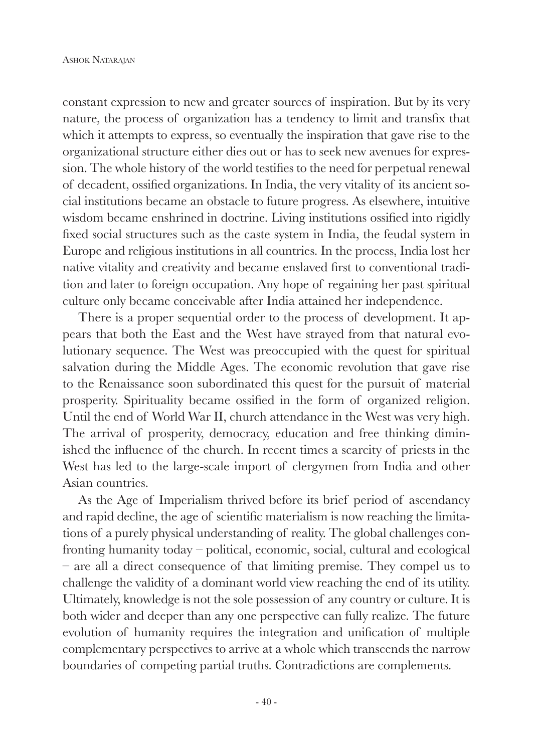constant expression to new and greater sources of inspiration. But by its very nature, the process of organization has a tendency to limit and transfix that which it attempts to express, so eventually the inspiration that gave rise to the organizational structure either dies out or has to seek new avenues for expression. The whole history of the world testifies to the need for perpetual renewal of decadent, ossified organizations. In India, the very vitality of its ancient social institutions became an obstacle to future progress. As elsewhere, intuitive wisdom became enshrined in doctrine. Living institutions ossified into rigidly fixed social structures such as the caste system in India, the feudal system in Europe and religious institutions in all countries. In the process, India lost her native vitality and creativity and became enslaved first to conventional tradition and later to foreign occupation. Any hope of regaining her past spiritual culture only became conceivable after India attained her independence.

There is a proper sequential order to the process of development. It appears that both the East and the West have strayed from that natural evolutionary sequence. The West was preoccupied with the quest for spiritual salvation during the Middle Ages. The economic revolution that gave rise to the Renaissance soon subordinated this quest for the pursuit of material prosperity. Spirituality became ossified in the form of organized religion. Until the end of World War II, church attendance in the West was very high. The arrival of prosperity, democracy, education and free thinking diminished the influence of the church. In recent times a scarcity of priests in the West has led to the large-scale import of clergymen from India and other Asian countries.

As the Age of Imperialism thrived before its brief period of ascendancy and rapid decline, the age of scientific materialism is now reaching the limitations of a purely physical understanding of reality. The global challenges confronting humanity today – political, economic, social, cultural and ecological – are all a direct consequence of that limiting premise. They compel us to challenge the validity of a dominant world view reaching the end of its utility. Ultimately, knowledge is not the sole possession of any country or culture. It is both wider and deeper than any one perspective can fully realize. The future evolution of humanity requires the integration and unification of multiple complementary perspectives to arrive at a whole which transcends the narrow boundaries of competing partial truths. Contradictions are complements.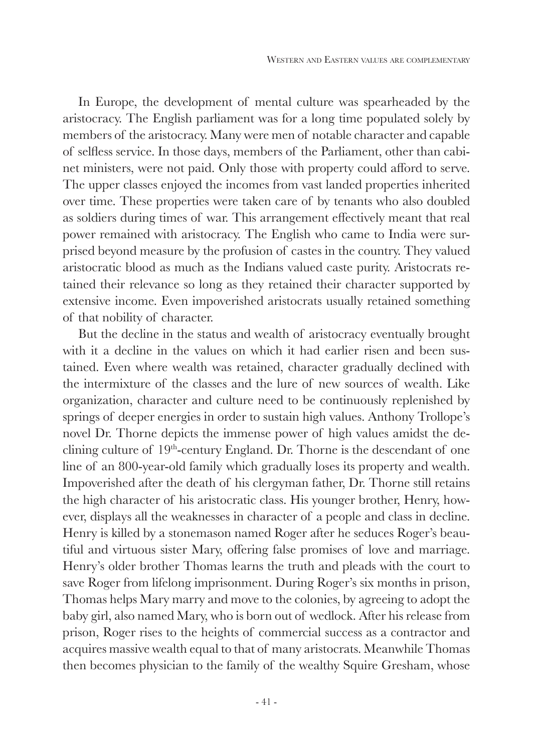In Europe, the development of mental culture was spearheaded by the aristocracy. The English parliament was for a long time populated solely by members of the aristocracy. Many were men of notable character and capable of selfless service. In those days, members of the Parliament, other than cabinet ministers, were not paid. Only those with property could afford to serve. The upper classes enjoyed the incomes from vast landed properties inherited over time. These properties were taken care of by tenants who also doubled as soldiers during times of war. This arrangement effectively meant that real power remained with aristocracy. The English who came to India were surprised beyond measure by the profusion of castes in the country. They valued aristocratic blood as much as the Indians valued caste purity. Aristocrats retained their relevance so long as they retained their character supported by extensive income. Even impoverished aristocrats usually retained something of that nobility of character.

But the decline in the status and wealth of aristocracy eventually brought with it a decline in the values on which it had earlier risen and been sustained. Even where wealth was retained, character gradually declined with the intermixture of the classes and the lure of new sources of wealth. Like organization, character and culture need to be continuously replenished by springs of deeper energies in order to sustain high values. Anthony Trollope's novel Dr. Thorne depicts the immense power of high values amidst the declining culture of  $19<sup>th</sup>$ -century England. Dr. Thorne is the descendant of one line of an 800-year-old family which gradually loses its property and wealth. Impoverished after the death of his clergyman father, Dr. Thorne still retains the high character of his aristocratic class. His younger brother, Henry, however, displays all the weaknesses in character of a people and class in decline. Henry is killed by a stonemason named Roger after he seduces Roger's beautiful and virtuous sister Mary, offering false promises of love and marriage. Henry's older brother Thomas learns the truth and pleads with the court to save Roger from lifelong imprisonment. During Roger's six months in prison, Thomas helps Mary marry and move to the colonies, by agreeing to adopt the baby girl, also named Mary, who is born out of wedlock. After his release from prison, Roger rises to the heights of commercial success as a contractor and acquires massive wealth equal to that of many aristocrats. Meanwhile Thomas then becomes physician to the family of the wealthy Squire Gresham, whose